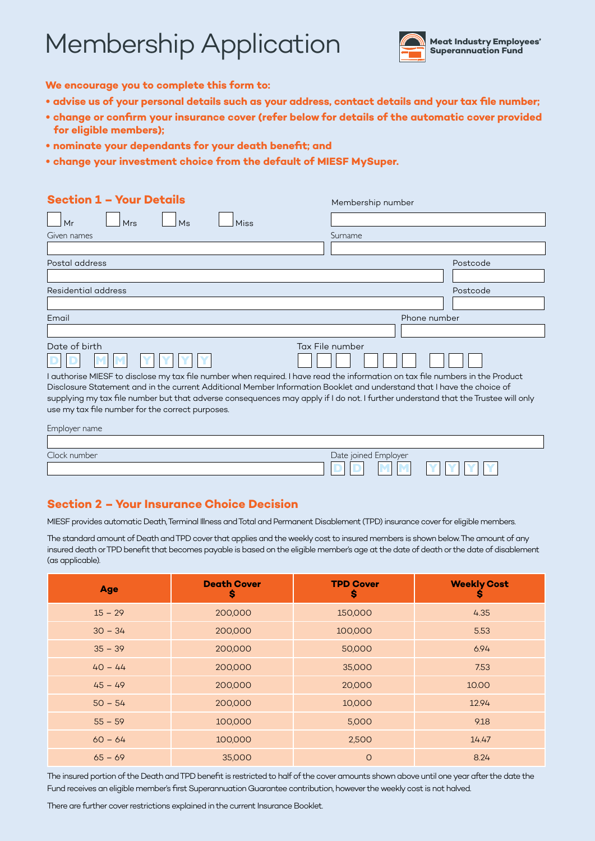# **Membership Application**



**D D M M Y Y Y Y**

**We encourage you to complete this form to:**

- **• advise us of your personal details such as your address, contact details and your tax file number;**
- **• change or confirm your insurance cover (refer below for details of the automatic cover provided for eligible members);**
- **• nominate your dependants for your death benefit; and**
- **• change your investment choice from the default of MIESF MySuper.**

| <b>Section 1 - Your Details</b>                                                                                                                                                                                                                                                                                                                                                                                                                                                     | Membership number    |
|-------------------------------------------------------------------------------------------------------------------------------------------------------------------------------------------------------------------------------------------------------------------------------------------------------------------------------------------------------------------------------------------------------------------------------------------------------------------------------------|----------------------|
| Mr<br>Mrs<br>Ms<br>Miss                                                                                                                                                                                                                                                                                                                                                                                                                                                             |                      |
| Given names                                                                                                                                                                                                                                                                                                                                                                                                                                                                         | Surname              |
|                                                                                                                                                                                                                                                                                                                                                                                                                                                                                     |                      |
| Postal address                                                                                                                                                                                                                                                                                                                                                                                                                                                                      | Postcode             |
|                                                                                                                                                                                                                                                                                                                                                                                                                                                                                     |                      |
| Residential address                                                                                                                                                                                                                                                                                                                                                                                                                                                                 | Postcode             |
|                                                                                                                                                                                                                                                                                                                                                                                                                                                                                     |                      |
| Email                                                                                                                                                                                                                                                                                                                                                                                                                                                                               | Phone number         |
|                                                                                                                                                                                                                                                                                                                                                                                                                                                                                     |                      |
| Date of birth<br>I authorise MIESF to disclose my tax file number when required. I have read the information on tax file numbers in the Product<br>Disclosure Statement and in the current Additional Member Information Booklet and understand that I have the choice of<br>supplying my tax file number but that adverse consequences may apply if I do not. I further understand that the Trustee will only<br>use my tax file number for the correct purposes.<br>Employer name | Tax File number      |
| Clock number                                                                                                                                                                                                                                                                                                                                                                                                                                                                        | Date joined Employer |

## **Section 2 – Your Insurance Choice Decision**

MIESF provides automatic Death, Terminal Illness and Total and Permanent Disablement (TPD) insurance cover for eligible members.

The standard amount of Death and TPD cover that applies and the weekly cost to insured members is shown below. The amount of any insured death or TPD benefit that becomes payable is based on the eligible member's age at the date of death or the date of disablement (as applicable).

| <b>Age</b> | <b>Death Cover</b><br>\$ | <b>TPD Cover</b><br>\$ | <b>Weekly Cost</b><br>S |
|------------|--------------------------|------------------------|-------------------------|
| $15 - 29$  | 200,000                  | 150,000                | 4.35                    |
| $30 - 34$  | 200,000                  | 100,000                | 5.53                    |
| $35 - 39$  | 200,000                  | 50,000                 | 6.94                    |
| $40 - 44$  | 200,000                  | 35,000                 | 7.53                    |
| $45 - 49$  | 200,000                  | 20,000                 | 10.00                   |
| $50 - 54$  | 200,000                  | 10,000                 | 12.94                   |
| $55 - 59$  | 100,000                  | 5,000                  | 9.18                    |
| $60 - 64$  | 100,000                  | 2,500                  | 14.47                   |
| $65 - 69$  | 35,000                   | $\circ$                | 8.24                    |

The insured portion of the Death and TPD benefit is restricted to half of the cover amounts shown above until one year after the date the Fund receives an eligible member's first Superannuation Guarantee contribution, however the weekly cost is not halved.

There are further cover restrictions explained in the current Insurance Booklet.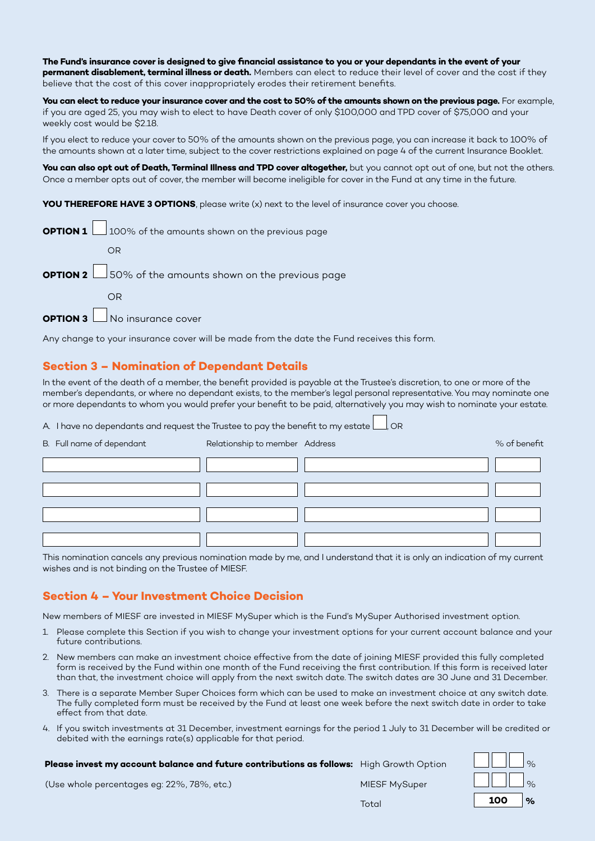**The Fund's insurance cover is designed to give financial assistance to you or your dependants in the event of your permanent disablement, terminal illness or death.** Members can elect to reduce their level of cover and the cost if they believe that the cost of this cover inappropriately erodes their retirement benefits.

**You can elect to reduce your insurance cover and the cost to 50% of the amounts shown on the previous page.** For example, if you are aged 25, you may wish to elect to have Death cover of only \$100,000 and TPD cover of \$75,000 and your weekly cost would be \$2.18.

If you elect to reduce your cover to 50% of the amounts shown on the previous page, you can increase it back to 100% of the amounts shown at a later time, subject to the cover restrictions explained on page 4 of the current Insurance Booklet.

**You can also opt out of Death, Terminal Illness and TPD cover altogether,** but you cannot opt out of one, but not the others. Once a member opts out of cover, the member will become ineligible for cover in the Fund at any time in the future.

**YOU THEREFORE HAVE 3 OPTIONS**, please write (x) next to the level of insurance cover you choose.

| <b>OPTION 1</b> $\Box$ 100% of the amounts shown on the previous page |
|-----------------------------------------------------------------------|
| OR                                                                    |
| <b>OPTION 2</b> $\Box$ 50% of the amounts shown on the previous page  |
| OR                                                                    |
|                                                                       |

**OPTION 3** No insurance cover

Any change to your insurance cover will be made from the date the Fund receives this form.

## **Section 3 – Nomination of Dependant Details**

In the event of the death of a member, the benefit provided is payable at the Trustee's discretion, to one or more of the member's dependants, or where no dependant exists, to the member's legal personal representative. You may nominate one or more dependants to whom you would prefer your benefit to be paid, alternatively you may wish to nominate your estate.

A. I have no dependants and request the Trustee to pay the benefit to my estate  $\Box$ , OR

| B. Full name of dependant | Relationship to member Address | % of benefit |
|---------------------------|--------------------------------|--------------|
|                           |                                |              |
|                           |                                |              |
|                           |                                |              |
|                           |                                |              |

This nomination cancels any previous nomination made by me, and I understand that it is only an indication of my current wishes and is not binding on the Trustee of MIESF.

### **Section 4 – Your Investment Choice Decision**

New members of MIESF are invested in MIESF MySuper which is the Fund's MySuper Authorised investment option.

- 1. Please complete this Section if you wish to change your investment options for your current account balance and your future contributions.
- 2. New members can make an investment choice effective from the date of joining MIESF provided this fully completed form is received by the Fund within one month of the Fund receiving the first contribution. If this form is received later than that, the investment choice will apply from the next switch date. The switch dates are 30 June and 31 December.
- 3. There is a separate Member Super Choices form which can be used to make an investment choice at any switch date. The fully completed form must be received by the Fund at least one week before the next switch date in order to take effect from that date.
- 4. If you switch investments at 31 December, investment earnings for the period 1 July to 31 December will be credited or debited with the earnings rate(s) applicable for that period.

| Please invest my account balance and future contributions as follows: High Growth Option |               |     | $\%$ |
|------------------------------------------------------------------------------------------|---------------|-----|------|
| (Use whole percentages eg: 22%, 78%, etc.)                                               | MIESF MySuper |     |      |
|                                                                                          | Total         | 100 | $\%$ |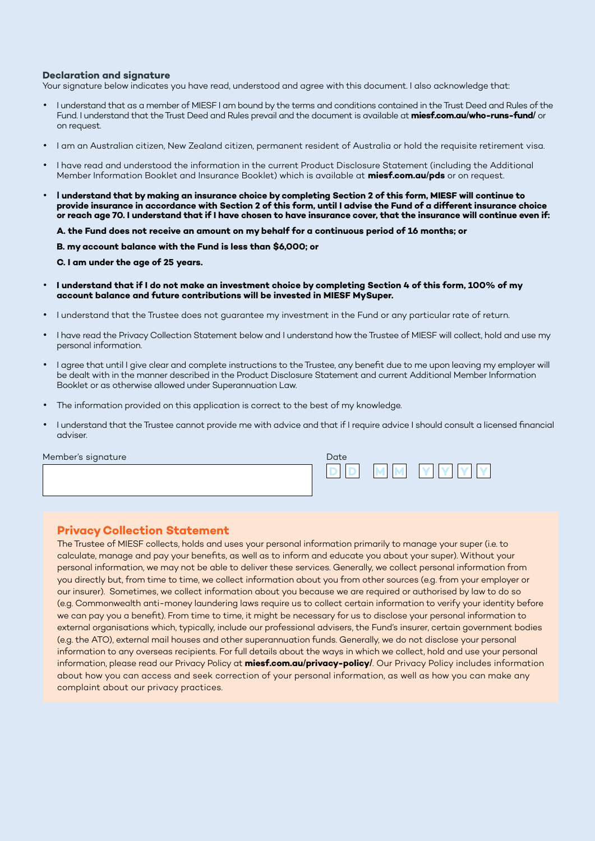#### **Declaration and signature**

Your signature below indicates you have read, understood and agree with this document. I also acknowledge that:

- I understand that as a member of MIESF I am bound by the terms and conditions contained in the Trust Deed and Rules of the Fund. I understand that the Trust Deed and Rules prevail and the document is available at **miesf.com.au/who-runs-fund/** or on request.
- I am an Australian citizen, New Zealand citizen, permanent resident of Australia or hold the requisite retirement visa.
- I have read and understood the information in the current Product Disclosure Statement (including the Additional Member Information Booklet and Insurance Booklet) which is available at **miesf.com.au/pds** or on request.
- **I understand that by making an insurance choice by completing Section 2 of this form, MIESF will continue to provide insurance in accordance with Section 2 of this form, until I advise the Fund of a different insurance choice or reach age 70. I understand that if I have chosen to have insurance cover, that the insurance will continue even if:**
	- **A. the Fund does not receive an amount on my behalf for a continuous period of 16 months; or**
	- **B. my account balance with the Fund is less than \$6,000; or**
	- **C. I am under the age of 25 years.**
- **I understand that if I do not make an investment choice by completing Section 4 of this form, 100% of my account balance and future contributions will be invested in MIESF MySuper.**
- I understand that the Trustee does not guarantee my investment in the Fund or any particular rate of return.
- I have read the Privacy Collection Statement below and I understand how the Trustee of MIESF will collect, hold and use my personal information.
- I agree that until I give clear and complete instructions to the Trustee, any benefit due to me upon leaving my employer will be dealt with in the manner described in the Product Disclosure Statement and current Additional Member Information Booklet or as otherwise allowed under Superannuation Law.
- The information provided on this application is correct to the best of my knowledge.
- I understand that the Trustee cannot provide me with advice and that if I require advice I should consult a licensed financial adviser.

Member's signature

| Date |          |  |
|------|----------|--|
|      | <b>M</b> |  |

#### **Privacy Collection Statement**

The Trustee of MIESF collects, holds and uses your personal information primarily to manage your super (i.e. to calculate, manage and pay your benefits, as well as to inform and educate you about your super). Without your personal information, we may not be able to deliver these services. Generally, we collect personal information from you directly but, from time to time, we collect information about you from other sources (e.g. from your employer or our insurer). Sometimes, we collect information about you because we are required or authorised by law to do so (e.g. Commonwealth anti-money laundering laws require us to collect certain information to verify your identity before we can pay you a benefit). From time to time, it might be necessary for us to disclose your personal information to external organisations which, typically, include our professional advisers, the Fund's insurer, certain government bodies (e.g. the ATO), external mail houses and other superannuation funds. Generally, we do not disclose your personal information to any overseas recipients. For full details about the ways in which we collect, hold and use your personal information, please read our Privacy Policy at **miesf.com.au/privacy-policy/**. Our Privacy Policy includes information about how you can access and seek correction of your personal information, as well as how you can make any complaint about our privacy practices.